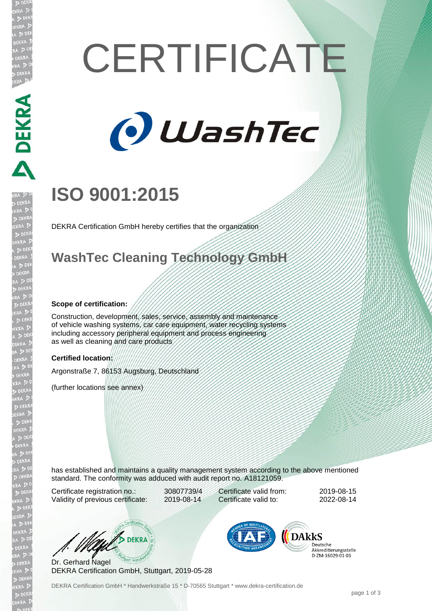# **CERTIFICATE**



## **ISO 9001:2015**

DEKRA Certification GmbH hereby certifies that the organization

### **WashTec Cleaning Technology GmbH**

#### **Scope of certification:**

Construction, development, sales, service, assembly and maintenance of vehicle washing systems, car care equipment, water recycling systems including accessory peripheral equipment and process engineering as well as cleaning and care products

#### **Certified location:**

Argonstraße 7, 86153 Augsburg, Deutschland

(further locations see annex)

has established and maintains a quality management system according to the above mentioned standard. The conformity was adduced with audit report no. A18121059.

Certificate registration no.: 30807739/4 Validity of previous certificate: 2019-08-14

Certificate valid from: 2019-08-15 Certificate valid to: 2022-08-14

W/S DEKRA

Dr. Gerhard Nagel DEKRA Certification GmbH, Stuttgart, 2019-05-28



Deutsche Akkreditierungsstelle D-7M-16029-01-01

DEKRA Certification GmbH \* Handwerkstraße 15 \* D-70565 Stuttgart \* www.dekra-certification.de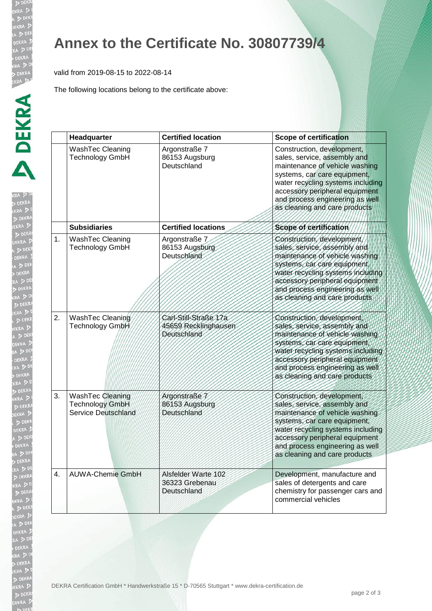EKR

**KRA**  $D$ EKR

## **Annex to the Certificate No. 30807739/4**

valid from 2019-08-15 to 2022-08-14

The following locations belong to the certificate above:

|    | Headquarter                                                                     | <b>Certified location</b>                                    | <b>Scope of certification</b>                                                                                                                                                                                                                                           |
|----|---------------------------------------------------------------------------------|--------------------------------------------------------------|-------------------------------------------------------------------------------------------------------------------------------------------------------------------------------------------------------------------------------------------------------------------------|
|    | WashTec Cleaning<br>Technology GmbH                                             | Argonstraße 7<br>86153 Augsburg<br>Deutschland               | Construction, development,<br>sales, service, assembly and<br>maintenance of vehicle washing<br>systems, car care equipment,<br>water recycling systems including<br>accessory peripheral equipment<br>and process engineering as well<br>as cleaning and care products |
|    | <b>Subsidiaries</b>                                                             | <b>Certified locations</b>                                   | Scope of certification                                                                                                                                                                                                                                                  |
| 1. | WashTec Cleaning<br><b>Technology GmbH</b>                                      | Argonstraße 7<br>86153 Augsburg<br>Deutschland               | Construction, development,<br>sales, service, assembly and<br>maintenance of vehicle washing<br>systems, car care equipment,<br>water recycling systems including<br>accessory peripheral equipment<br>and process engineering as well<br>as cleaning and care products |
| 2. | WashTec Cleaning<br>Technology GmbH                                             | Carl-Still-Straße 17a<br>45659 Recklinghausen<br>Deutschland | Construction, development,<br>sales, service, assembly and<br>maintenance of vehicle washing<br>systems, car care equipment,<br>water recycling systems including<br>accessory peripheral equipment<br>and process engineering as well<br>as cleaning and care products |
| 3. | <b>WashTec Cleaning</b><br><b>Technology GmbH</b><br><b>Service Deutschland</b> | Argonstraße 7<br>86153 Augsburg<br>Deutschland               | Construction, development,<br>sales, service, assembly and<br>maintenance of vehicle washing<br>systems, car care equipment,<br>water recycling systems including<br>accessory peripheral equipment<br>and process engineering as well<br>as cleaning and care products |
| 4. | <b>AUWA-Chemie GmbH</b>                                                         | Alsfelder Warte 102<br>36323 Grebenau<br>Deutschland         | Development, manufacture and<br>sales of detergents and care<br>chemistry for passenger cars and<br>commercial vehicles                                                                                                                                                 |